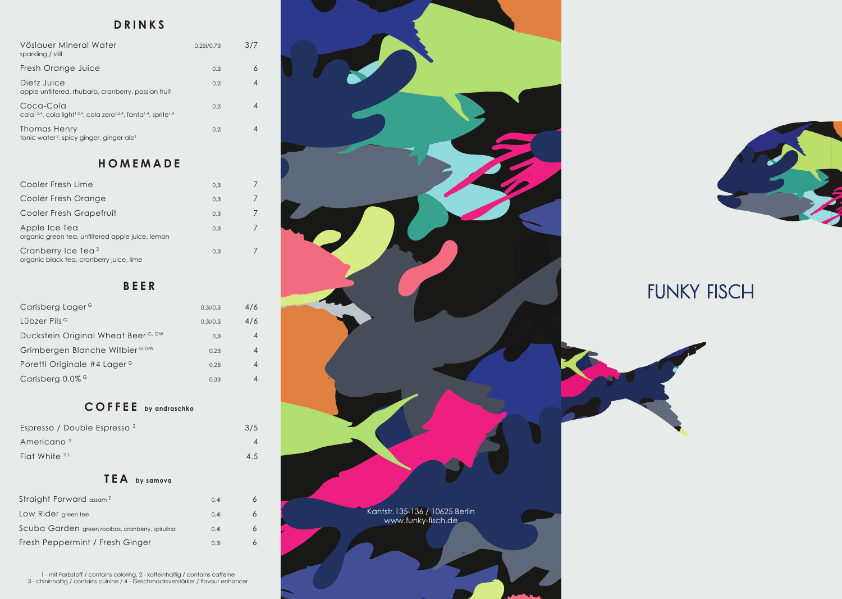# **DRINKS**

| Vöslauer Mineral Water<br>sparkling / still                                                                                                  | 0.25I/0.75I | 3/7 |
|----------------------------------------------------------------------------------------------------------------------------------------------|-------------|-----|
| Fresh Orange Juice                                                                                                                           | 0.21        | 6   |
| Dietz Juice<br>apple unfiltered, rhubarb, cranberry, passion fruit                                                                           | 0.21        | 4   |
| Coca-Cola<br>cola <sup>1,2,4</sup> , cola light <sup>1,2,4</sup> , cola zero <sup>1,2,4</sup> , fanta <sup>1,4</sup> , sprite <sup>1,4</sup> | 0.21        | 4   |
| <b>Thomas Henry</b><br>tonic water <sup>3</sup> , spicy ginger, ginger ale <sup>1</sup>                                                      | 0.21        | 4   |

# **HOMEMADE**

| Cooler Fresh Lime                                                          | 0.31 |   |
|----------------------------------------------------------------------------|------|---|
| Cooler Fresh Orange                                                        | 0.31 | 7 |
| Cooler Fresh Grapefruit                                                    | 0.31 | 7 |
| Apple Ice Tea<br>organic green tea, unfiltered apple juice, lemon          | 0.31 | 7 |
| Cranberry Ice Tea <sup>2</sup><br>organic black tea, cranberry juice, lime | 0.31 |   |

# **BEER**

| Carlsberg Lager <sup>G</sup>            | 0,31/0,51 | 4/6            |
|-----------------------------------------|-----------|----------------|
| Lübzer Pils <sup>G</sup>                | 0,31/0,51 | 4/6            |
| Duckstein Original Wheat Beer G, GW     | 0.31      | $\overline{A}$ |
| Grimbergen Blanche Witbier G, GW        | 0.251     | 4              |
| Poretti Originale #4 Lager <sup>G</sup> | 0.251     | 4              |
| Carlsberg $0.0\%$ <sup>G</sup>          | 0.331     | 4              |

# **TEA by samova**

| Straight Forward assam <sup>2</sup>              | 0.41 |   |
|--------------------------------------------------|------|---|
| Low Rider green tee                              | 0.41 |   |
| Scuba Garden green rooibos, cranberry, spirulina | 0.41 | 6 |
| Fresh Peppermint / Fresh Ginger                  | 0.31 |   |

# **COFFEE by andraschko**

| Espresso / Double Espresso <sup>2</sup> | 3/5 |
|-----------------------------------------|-----|
| Americano <sup>2</sup>                  |     |
| Flat White $2.1$                        | 4.5 |

1 - mit Farbstoff / contains coloring, 2 - koffeinhaltig / contains caffeine 3 - chininhaltig / contains cuinine / 4 - Geschmacksverstärker / flavour enhancer





# **FUNKY FISCH**